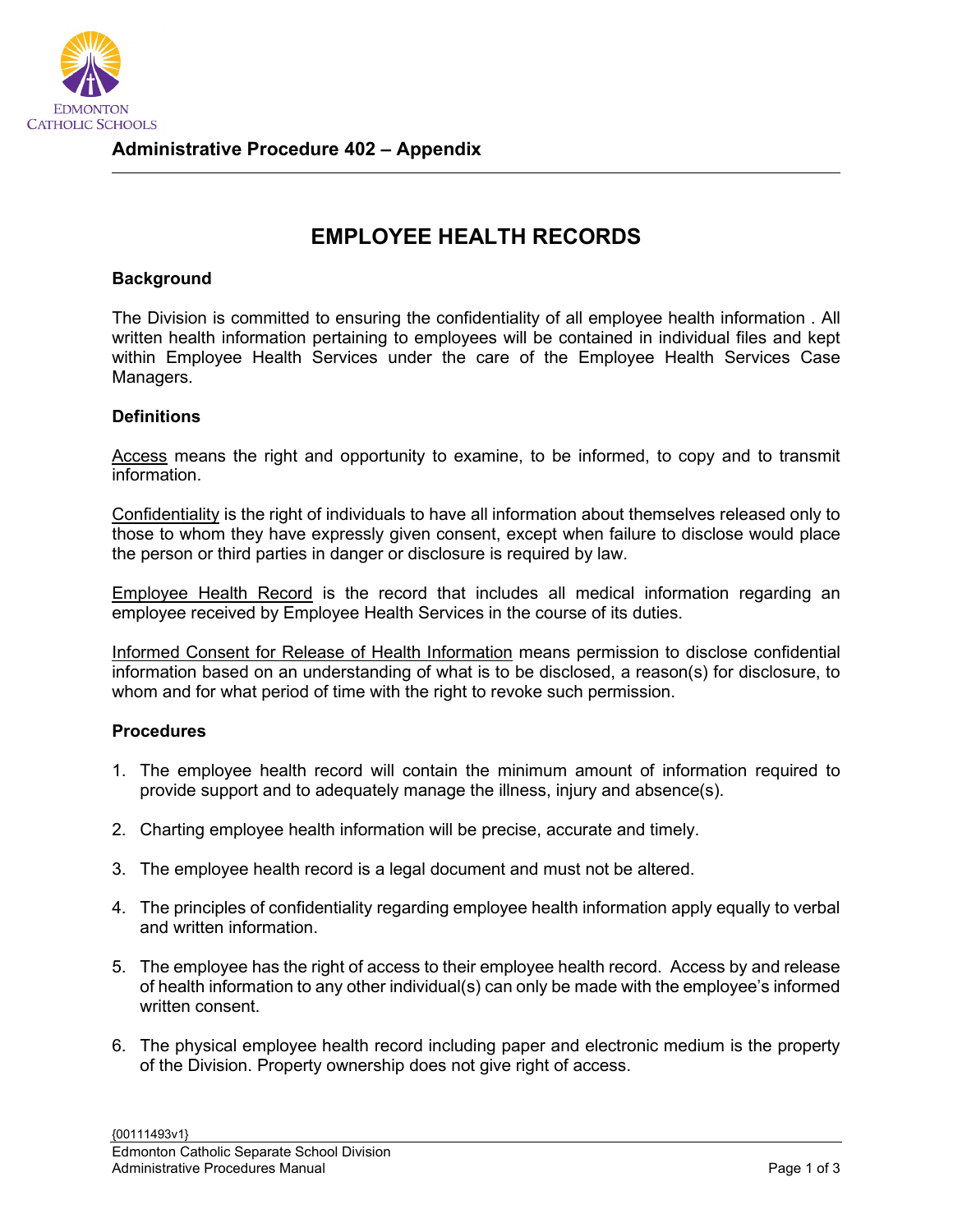

## **EMPLOYEE HEALTH RECORDS**

## **Background**

The Division is committed to ensuring the confidentiality of all employee health information . All written health information pertaining to employees will be contained in individual files and kept within Employee Health Services under the care of the Employee Health Services Case Managers.

## **Definitions**

Access means the right and opportunity to examine, to be informed, to copy and to transmit information.

Confidentiality is the right of individuals to have all information about themselves released only to those to whom they have expressly given consent, except when failure to disclose would place the person or third parties in danger or disclosure is required by law.

Employee Health Record is the record that includes all medical information regarding an employee received by Employee Health Services in the course of its duties.

Informed Consent for Release of Health Information means permission to disclose confidential information based on an understanding of what is to be disclosed, a reason(s) for disclosure, to whom and for what period of time with the right to revoke such permission.

## **Procedures**

- 1. The employee health record will contain the minimum amount of information required to provide support and to adequately manage the illness, injury and absence(s).
- 2. Charting employee health information will be precise, accurate and timely.
- 3. The employee health record is a legal document and must not be altered.
- 4. The principles of confidentiality regarding employee health information apply equally to verbal and written information.
- 5. The employee has the right of access to their employee health record. Access by and release of health information to any other individual(s) can only be made with the employee's informed written consent.
- 6. The physical employee health record including paper and electronic medium is the property of the Division. Property ownership does not give right of access.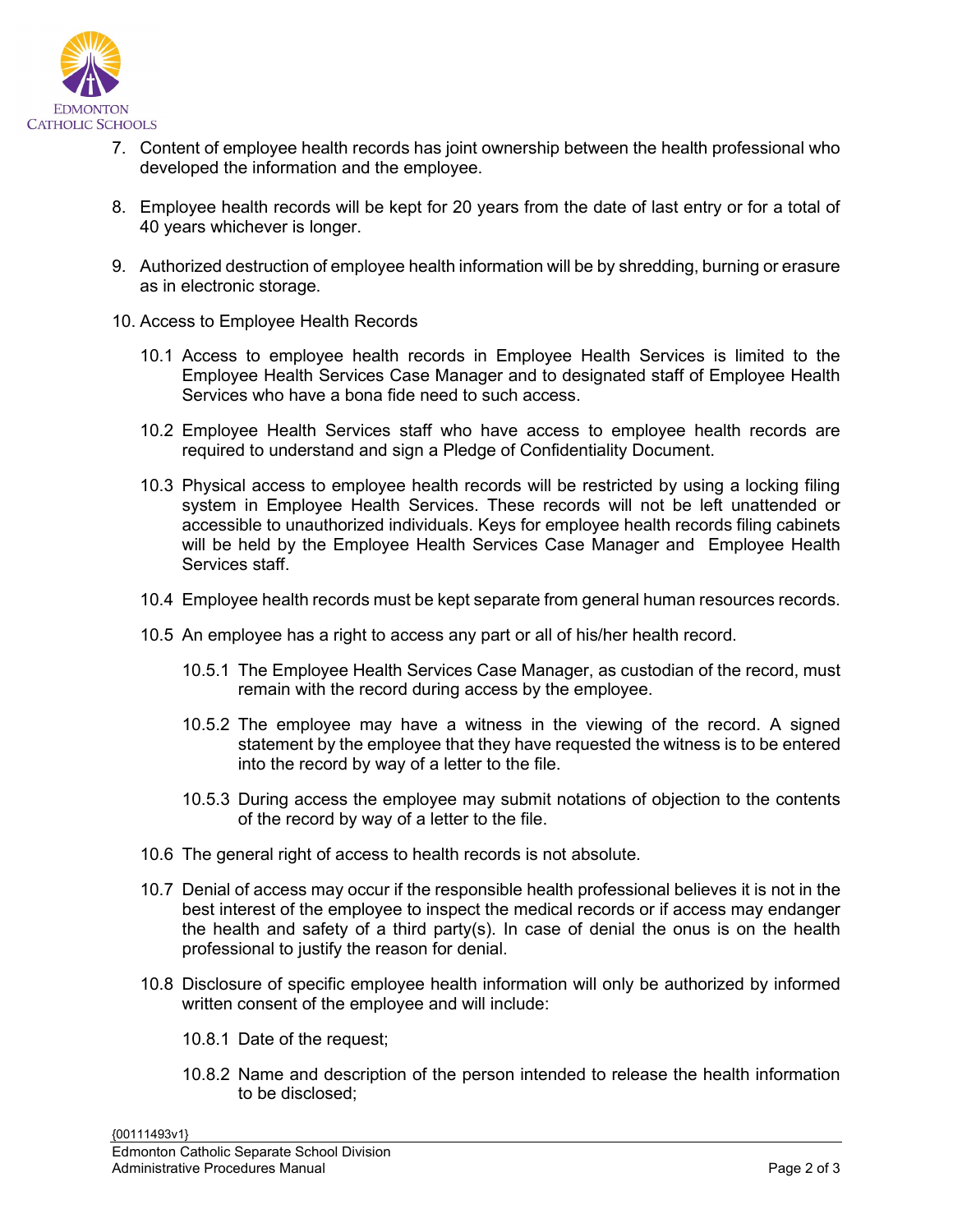

- 7. Content of employee health records has joint ownership between the health professional who developed the information and the employee.
- 8. Employee health records will be kept for 20 years from the date of last entry or for a total of 40 years whichever is longer.
- 9. Authorized destruction of employee health information will be by shredding, burning or erasure as in electronic storage.
- 10. Access to Employee Health Records
	- 10.1 Access to employee health records in Employee Health Services is limited to the Employee Health Services Case Manager and to designated staff of Employee Health Services who have a bona fide need to such access.
	- 10.2 Employee Health Services staff who have access to employee health records are required to understand and sign a Pledge of Confidentiality Document.
	- 10.3 Physical access to employee health records will be restricted by using a locking filing system in Employee Health Services. These records will not be left unattended or accessible to unauthorized individuals. Keys for employee health records filing cabinets will be held by the Employee Health Services Case Manager and Employee Health Services staff.
	- 10.4 Employee health records must be kept separate from general human resources records.
	- 10.5 An employee has a right to access any part or all of his/her health record.
		- 10.5.1 The Employee Health Services Case Manager, as custodian of the record, must remain with the record during access by the employee.
		- 10.5.2 The employee may have a witness in the viewing of the record. A signed statement by the employee that they have requested the witness is to be entered into the record by way of a letter to the file.
		- 10.5.3 During access the employee may submit notations of objection to the contents of the record by way of a letter to the file.
	- 10.6 The general right of access to health records is not absolute.
	- 10.7 Denial of access may occur if the responsible health professional believes it is not in the best interest of the employee to inspect the medical records or if access may endanger the health and safety of a third party(s). In case of denial the onus is on the health professional to justify the reason for denial.
	- 10.8 Disclosure of specific employee health information will only be authorized by informed written consent of the employee and will include:
		- 10.8.1 Date of the request;
		- 10.8.2 Name and description of the person intended to release the health information to be disclosed;